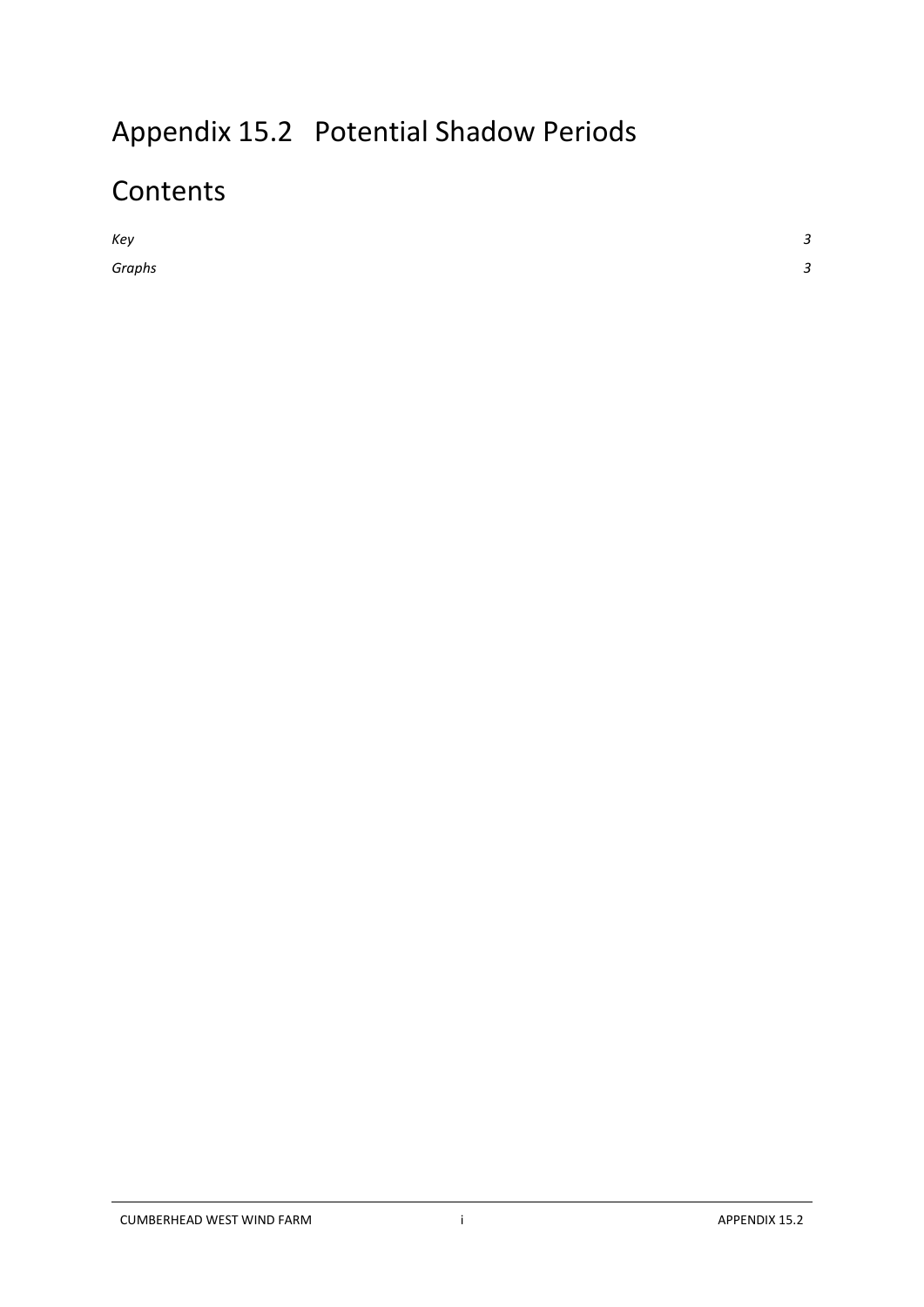# Appendix 15.2 Potential Shadow Periods

## **Contents**

| Key    | 3              |
|--------|----------------|
| Graphs | $\mathfrak{Z}$ |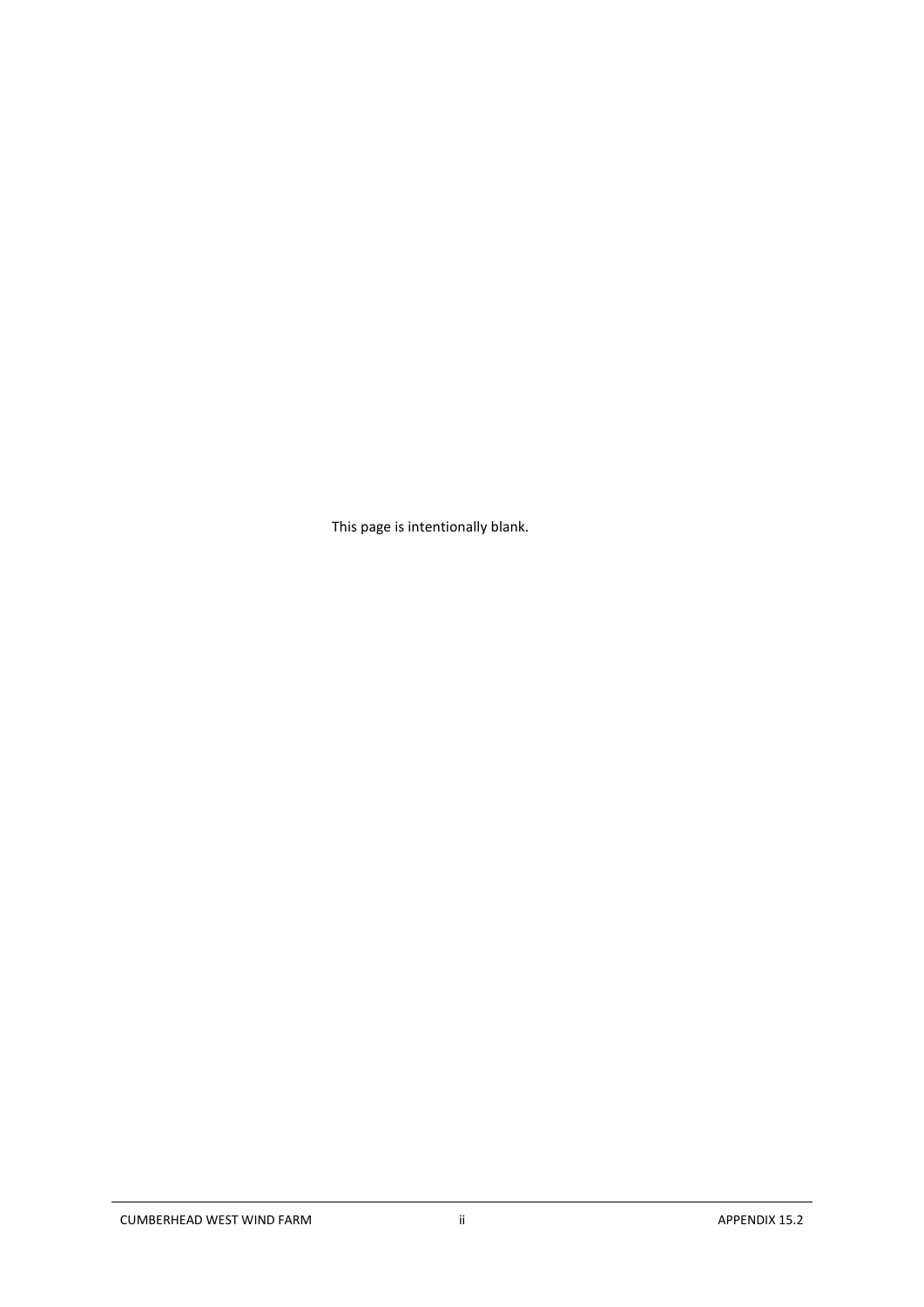This page is intentionally blank.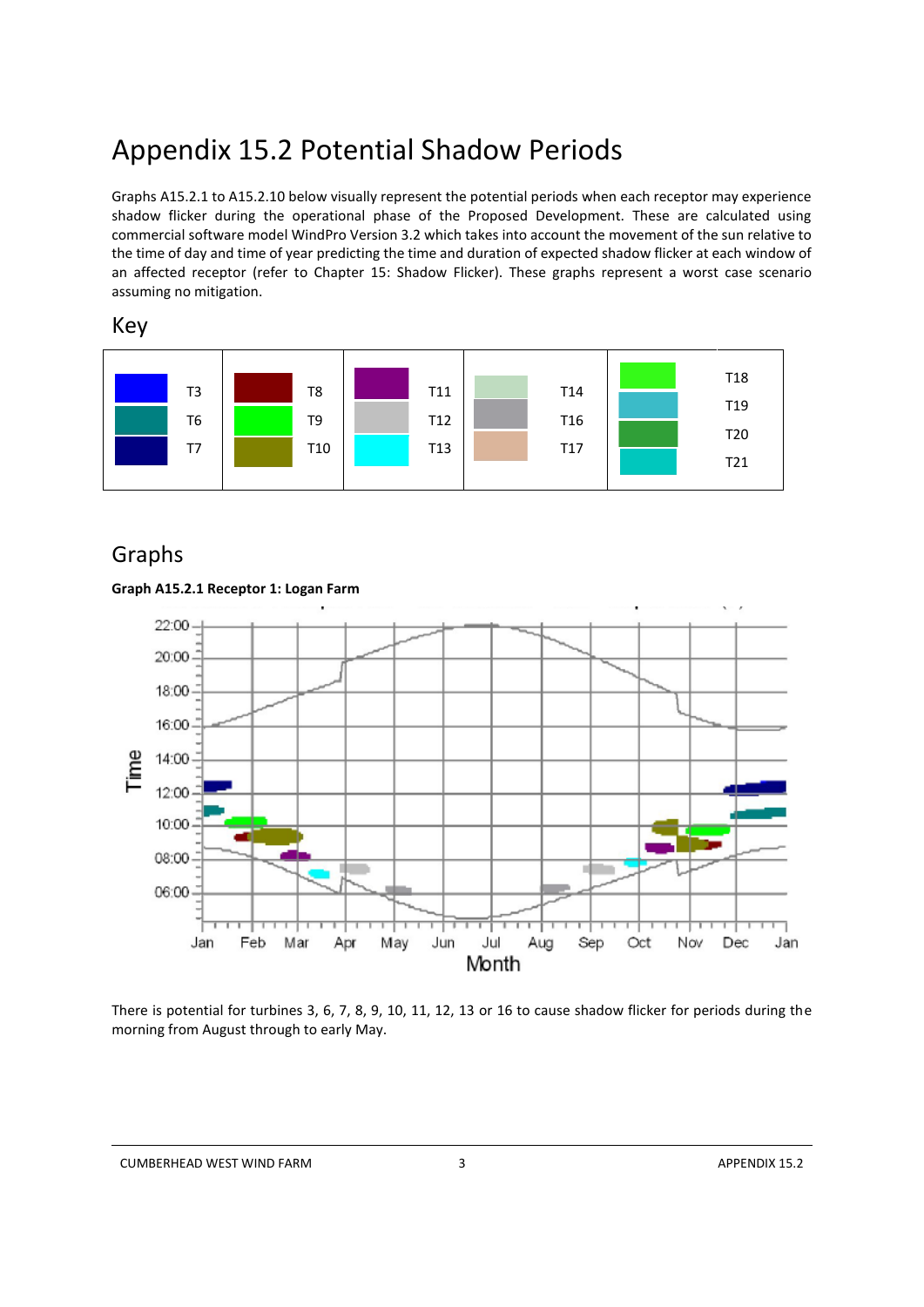## Appendix 15.2 Potential Shadow Periods

Graphs A15.2.1 to A15.2.10 below visually represent the potential periods when each receptor may experience shadow flicker during the operational phase of the Proposed Development. These are calculated using commercial software model WindPro Version 3.2 which takes into account the movement of the sun relative to the time of day and time of year predicting the time and duration of expected shadow flicker at each window of an affected receptor (refer to Chapter 15: Shadow Flicker). These graphs represent a worst case scenario assuming no mitigation.

<span id="page-2-0"></span>Key



### <span id="page-2-1"></span>Graphs



**Graph A15.2.1 Receptor 1: Logan Farm**

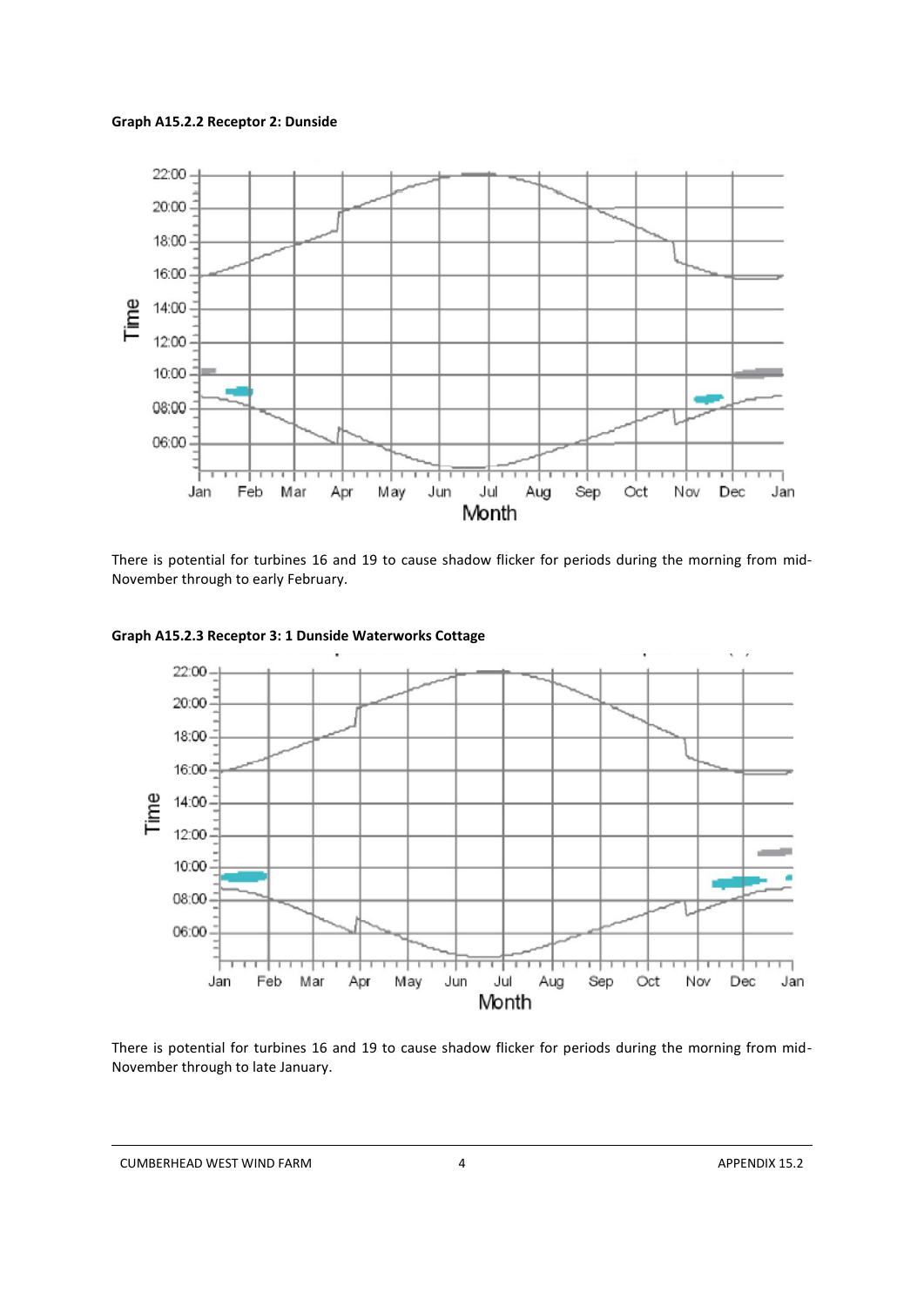**Graph A15.2.2 Receptor 2: Dunside**



There is potential for turbines 16 and 19 to cause shadow flicker for periods during the morning from mid-November through to early February.



### **Graph A15.2.3 Receptor 3: 1 Dunside Waterworks Cottage**

There is potential for turbines 16 and 19 to cause shadow flicker for periods during the morning from mid-November through to late January.

CUMBERHEAD WEST WIND FARM  $\begin{array}{ccc} 4 & 4 & 4 \end{array}$  APPENDIX 15.2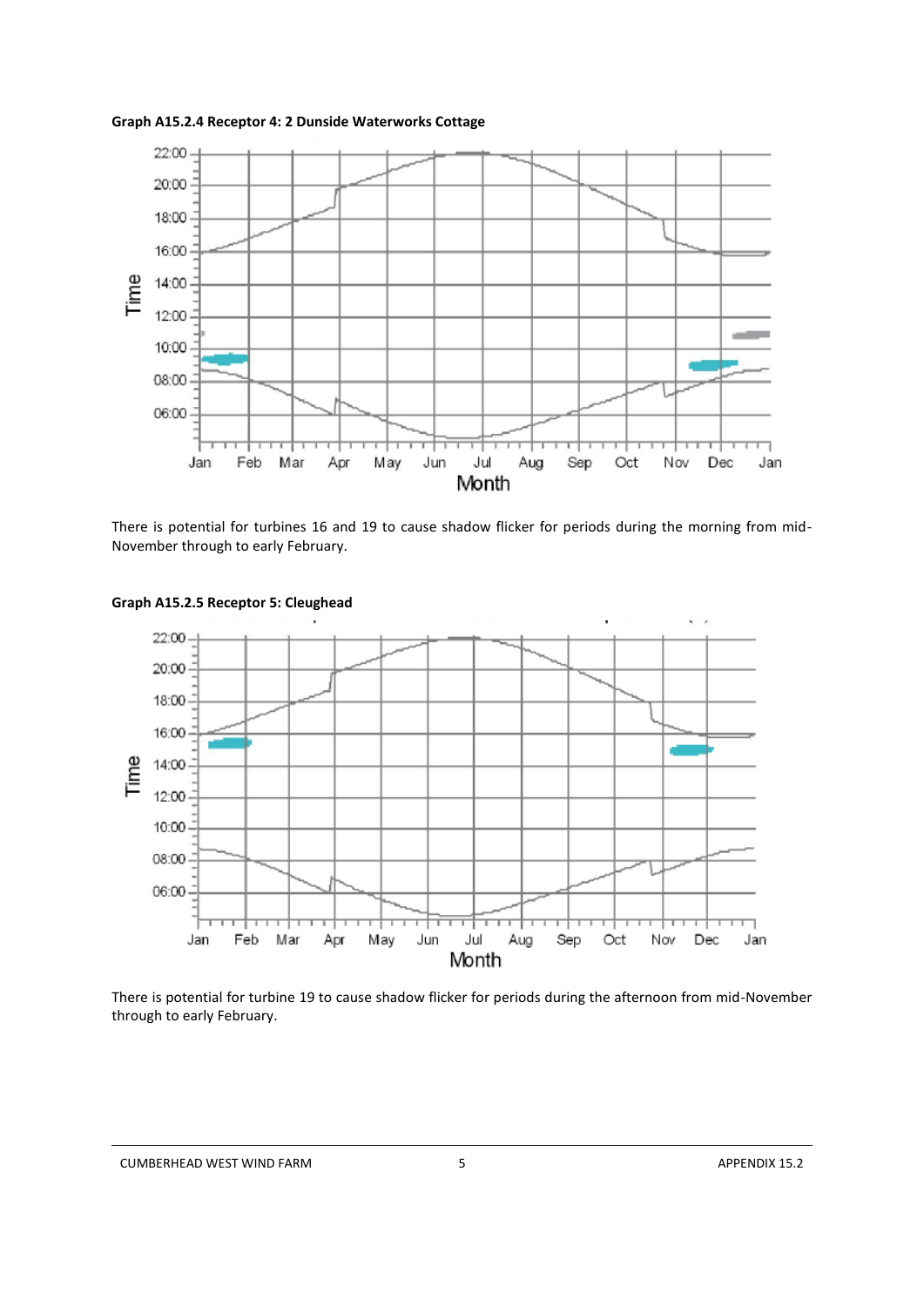**Graph A15.2.4 Receptor 4: 2 Dunside Waterworks Cottage**



There is potential for turbines 16 and 19 to cause shadow flicker for periods during the morning from mid-November through to early February.



**Graph A15.2.5 Receptor 5: Cleughead**

There is potential for turbine 19 to cause shadow flicker for periods during the afternoon from mid-November through to early February.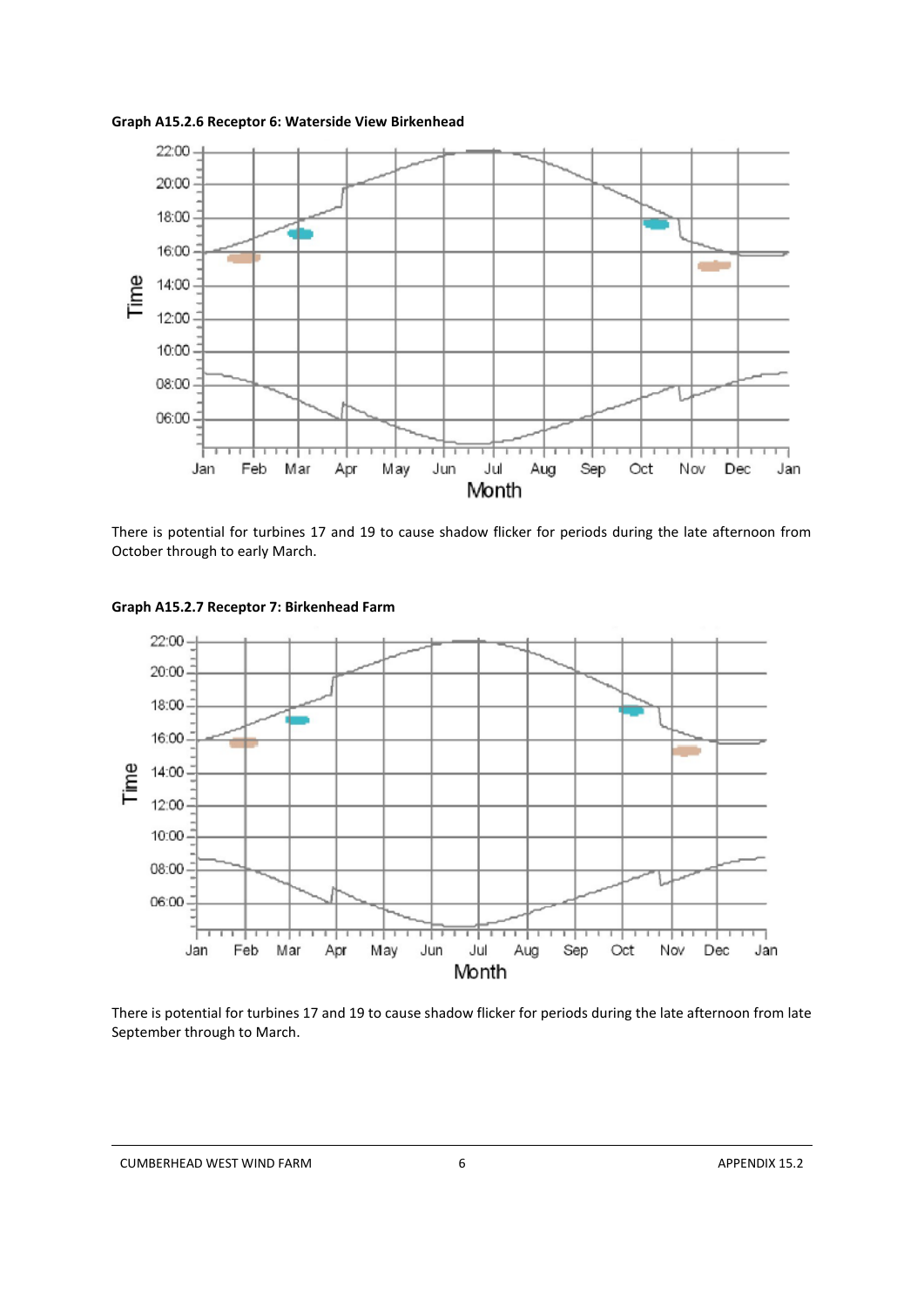**Graph A15.2.6 Receptor 6: Waterside View Birkenhead**



There is potential for turbines 17 and 19 to cause shadow flicker for periods during the late afternoon from October through to early March.



### **Graph A15.2.7 Receptor 7: Birkenhead Farm**

There is potential for turbines 17 and 19 to cause shadow flicker for periods during the late afternoon from late September through to March.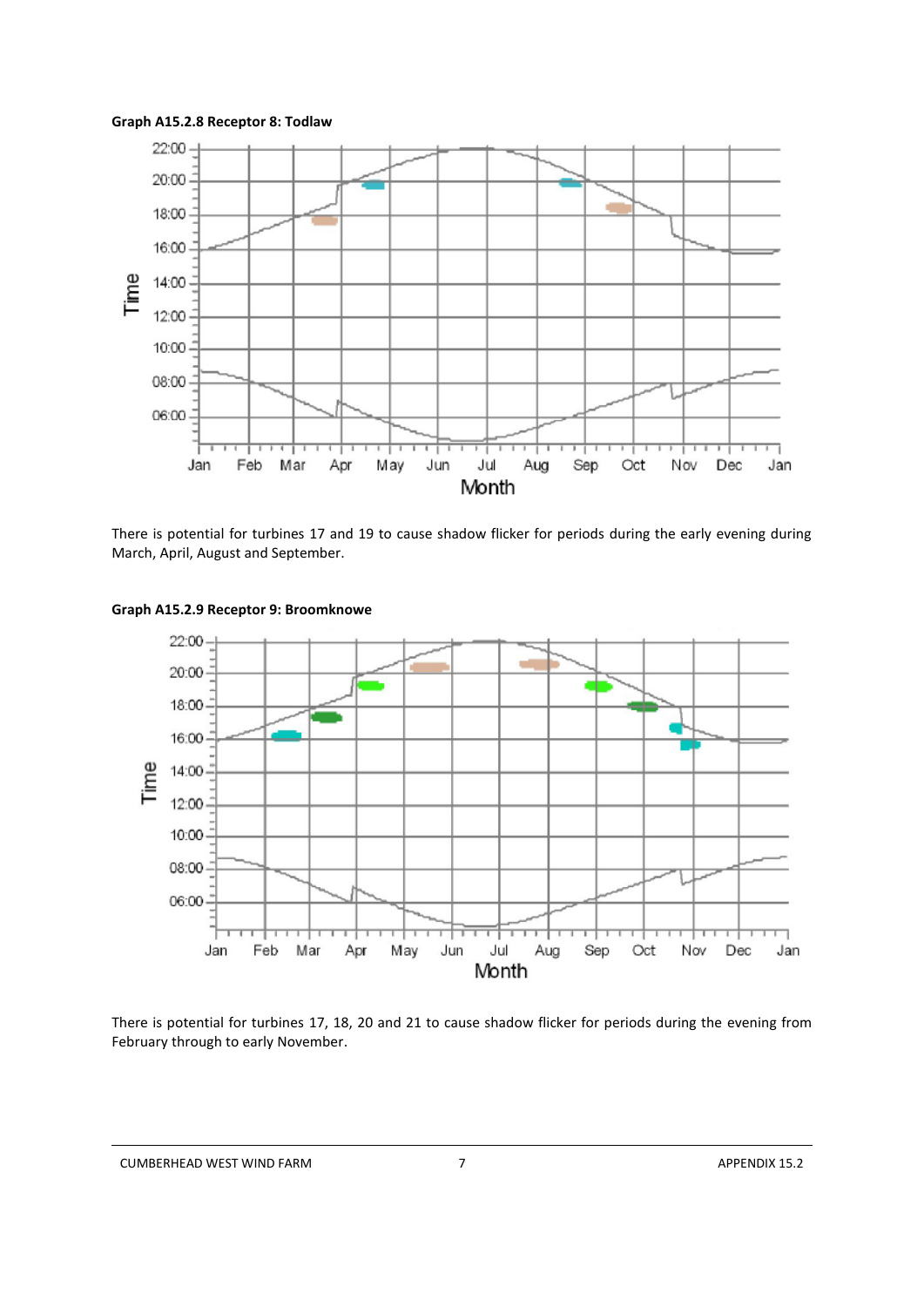**Graph A15.2.8 Receptor 8: Todlaw**



There is potential for turbines 17 and 19 to cause shadow flicker for periods during the early evening during March, April, August and September.



#### **Graph A15.2.9 Receptor 9: Broomknowe**

There is potential for turbines 17, 18, 20 and 21 to cause shadow flicker for periods during the evening from February through to early November.